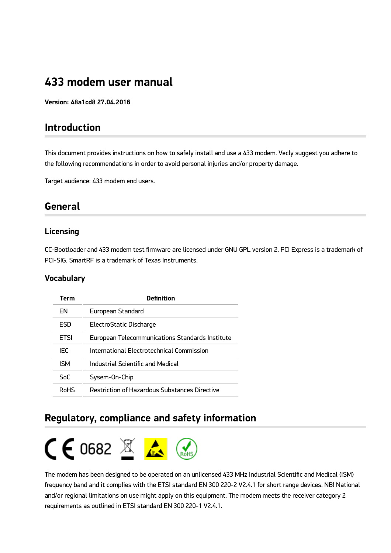# **433 modem user manual**

**Version: 48a1cd8 27.04.2016**

## **Introduction**

This document provides instructions on how to safely install and use a 433 modem. Vecly suggest you adhere to the following recommendations in order to avoid personal injuries and/or property damage.

Target audience: 433 modem end users.

## **General**

### **Licensing**

CC-Bootloader and 433 modem test firmware are licensed under GNU GPL version 2. PCI Express is a trademark of PCI-SIG. SmartRF is a trademark of Texas Instruments.

### **Vocabulary**

| Term        | <b>Definition</b>                                    |
|-------------|------------------------------------------------------|
| FN          | <b>European Standard</b>                             |
| FSD         | ElectroStatic Discharge                              |
| <b>FTSI</b> | European Telecommunications Standards Institute      |
| IEC         | International Electrotechnical Commission            |
| <b>ISM</b>  | Industrial Scientific and Medical                    |
| SoC         | Sysem-On-Chip                                        |
| RoHS        | <b>Restriction of Hazardous Substances Directive</b> |

## **Regulatory, compliance and safety information**



The modem has been designed to be operated on an unlicensed 433 MHz Industrial Scientific and Medical (ISM) frequency band and it complies with the ETSI standard EN 300 220-2 V2.4.1 for short range devices. NB! National and/or regional limitations on use might apply on this equipment. The modem meets the receiver category 2 requirements as outlined in ETSI standard EN 300 220-1 V2.4.1.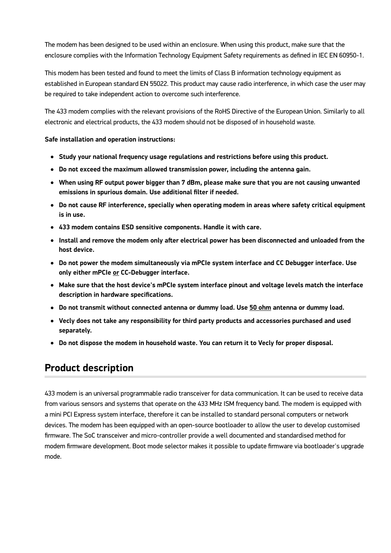The modem has been designed to be used within an enclosure. When using this product, make sure that the enclosure complies with the Information Technology Equipment Safety requirements as defined in IEC EN 60950-1.

This modem has been tested and found to meet the limits of Class B information technology equipment as established in European standard EN 55022. This product may cause radio interference, in which case the user may be required to take independent action to overcome such interference.

The 433 modem complies with the relevant provisions of the RoHS Directive of the European Union. Similarly to all electronic and electrical products, the 433 modem should not be disposed of in household waste.

### **Safe installation and operation instructions:**

- **Study your national frequency usage regulations and restrictions before using this product.**
- **Do not exceed the maximum allowed transmission power, including the antenna gain.**
- **When using RF output power bigger than 7 dBm, please make sure that you are not causing unwanted emissions in spurious domain. Use additional filter if needed.**
- **Do not cause RF interference, specially when operating modem in areas where safety critical equipment is in use.**
- **433 modem contains ESD sensitive components. Handle it with care.**
- **Install and remove the modem only aſter electrical power has been disconnected and unloaded from the host device.**
- **Do not power the modem simultaneously via mPCIe system interface and CC Debugger interface. Use only either mPCIe or CC-Debugger interface.**
- **Make sure that the host device's mPCIe system interface pinout and voltage levels match the interface description in hardware specifications.**
- **Do not transmit without connected antenna or dummy load. Use 50 ohm antenna or dummy load.**
- **Vecly does not take any responsibility for third party products and accessories purchased and used separately.**
- **Do not dispose the modem in household waste. You can return it to Vecly for proper disposal.**

## **Product description**

433 modem is an universal programmable radio transceiver for data communication. It can be used to receive data from various sensors and systems that operate on the 433 MHz ISM frequency band. The modem is equipped with a mini PCI Express system interface, therefore it can be installed to standard personal computers or network devices. The modem has been equipped with an open-source bootloader to allow the user to develop customised firmware. The SoC transceiver and micro-controller provide a well documented and standardised method for modem firmware development. Boot mode selector makes it possible to update firmware via bootloader's upgrade mode.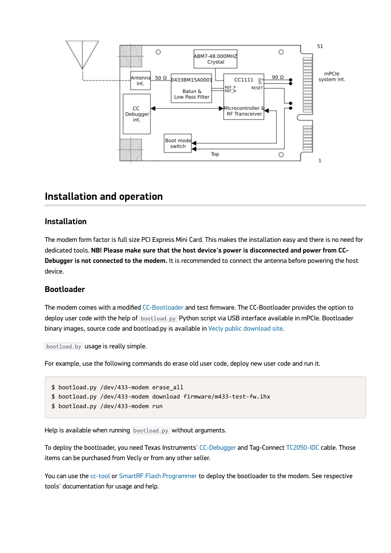

## **Installation and operation**

### **Installation**

The modem form factor is full size PCI Express Mini Card. This makes the installation easy and there is no need for dedicated tools. **NB! Please make sure that the host device's power is disconnected and power from CC-Debugger is not connected to the modem.** It is recommended to connect the antenna before powering the host device.

### **Bootloader**

The modem comes with a modified [CC-Bootloader](https://github.com/swift-nav/CC-Bootloader) and test firmware. The CC-Bootloader provides the option to deploy user code with the help of **bootload.py** Python script via USB interface available in mPCIe. Bootloader binary images, source code and bootload.py is available in [Vecly public download site](https://vecly.com/pub/433-modem/firmware/CC-Bootloader/).

bootload.by usage is really simple.

For example, use the following commands do erase old user code, deploy new user code and run it.

```
$	bootload.py	/dev/433-modem	erase_all
$	bootload.py	/dev/433-modem	download	firmware/m433-test-fw.ihx
$ bootload.py /dev/433-modem run
```
Help is available when running bootload.py without arguments.

To deploy the bootloader, you need Texas Instruments' [CC-Debugger](http://www.ti.com/tool/cc-debugger) and Tag-Connect [TC2050-IDC](http://www.tag-connect.com/TC2050-IDC) cable. Those items can be purchased from Vecly or from any other seller.

You can use the [cc-tool](https://sourceforge.net/projects/cctool/) or [SmartRF Flash Programmer](http://www.ti.com/tool/flash-programmer) to deploy the bootloader to the modem. See respective tools' documentation for usage and help.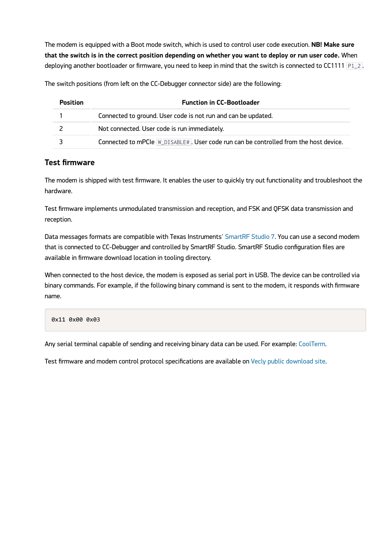The modem is equipped with a Boot mode switch, which is used to control user code execution. **NB! Make sure that the switch is in the correct position depending on whether you want to deploy or run user code.** When deploying another bootloader or firmware, you need to keep in mind that the switch is connected to CC1111  $P1_2$ .

The switch positions (from left on the CC-Debugger connector side) are the following:

| <b>Position</b> | <b>Function in CC-Bootloader</b>                                                     |
|-----------------|--------------------------------------------------------------------------------------|
|                 | Connected to ground. User code is not run and can be updated.                        |
|                 | Not connected. User code is run immediately.                                         |
|                 | Connected to mPCIe W_DISABLE#. User code run can be controlled from the host device. |

### **Test firmware**

The modem is shipped with test firmware. It enables the user to quickly try out functionality and troubleshoot the hardware.

Test firmware implements unmodulated transmission and reception, and FSK and QFSK data transmission and reception.

Data messages formats are compatible with Texas Instruments' [SmartRF Studio 7](http://www.ti.com/tool/smartrftm-studio). You can use a second modem that is connected to CC-Debugger and controlled by SmartRF Studio. SmartRF Studio configuration files are available in firmware download location in tooling directory.

When connected to the host device, the modem is exposed as serial port in USB. The device can be controlled via binary commands. For example, if the following binary command is sent to the modem, it responds with firmware name.

0x11 0x00 0x03

Any serial terminal capable of sending and receiving binary data can be used. For example: [CoolTerm](http://freeware.the-meiers.org/).

Test firmware and modem control protocol specifications are available on [Vecly public download site](https://vecly.com/pub/433-modem/).